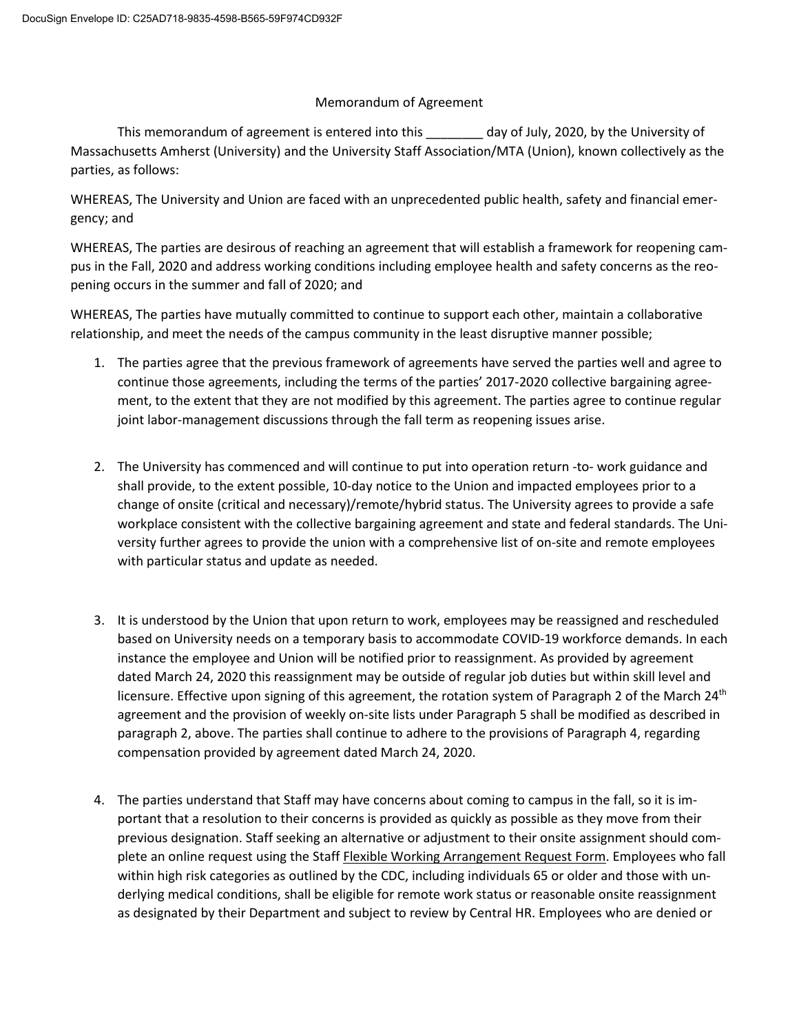## Memorandum of Agreement

This memorandum of agreement is entered into this \_\_\_\_\_\_\_\_ day of July, 2020, by the University of Massachusetts Amherst (University) and the University Staff Association/MTA (Union), known collectively as the parties, as follows:

WHEREAS, The University and Union are faced with an unprecedented public health, safety and financial emergency; and

WHEREAS, The parties are desirous of reaching an agreement that will establish a framework for reopening campus in the Fall, 2020 and address working conditions including employee health and safety concerns as the reopening occurs in the summer and fall of 2020; and

WHEREAS, The parties have mutually committed to continue to support each other, maintain a collaborative relationship, and meet the needs of the campus community in the least disruptive manner possible;

- 1. The parties agree that the previous framework of agreements have served the parties well and agree to continue those agreements, including the terms of the parties' 2017-2020 collective bargaining agreement, to the extent that they are not modified by this agreement. The parties agree to continue regular joint labor-management discussions through the fall term as reopening issues arise.
- 2. The University has commenced and will continue to put into operation return -to- work guidance and shall provide, to the extent possible, 10-day notice to the Union and impacted employees prior to a change of onsite (critical and necessary)/remote/hybrid status. The University agrees to provide a safe workplace consistent with the collective bargaining agreement and state and federal standards. The University further agrees to provide the union with a comprehensive list of on-site and remote employees with particular status and update as needed.
- 3. It is understood by the Union that upon return to work, employees may be reassigned and rescheduled based on University needs on a temporary basis to accommodate COVID-19 workforce demands. In each instance the employee and Union will be notified prior to reassignment. As provided by agreement dated March 24, 2020 this reassignment may be outside of regular job duties but within skill level and licensure. Effective upon signing of this agreement, the rotation system of Paragraph 2 of the March 24<sup>th</sup> agreement and the provision of weekly on-site lists under Paragraph 5 shall be modified as described in paragraph 2, above. The parties shall continue to adhere to the provisions of Paragraph 4, regarding compensation provided by agreement dated March 24, 2020.
- 4. The parties understand that Staff may have concerns about coming to campus in the fall, so it is important that a resolution to their concerns is provided as quickly as possible as they move from their previous designation. Staff seeking an alternative or adjustment to their onsite assignment should complete an online request using the Staff Flexible Working Arrangement Request Form. Employees who fall within high risk categories as outlined by the CDC, including individuals 65 or older and those with underlying medical conditions, shall be eligible for remote work status or reasonable onsite reassignment as designated by their Department and subject to review by Central HR. Employees who are denied or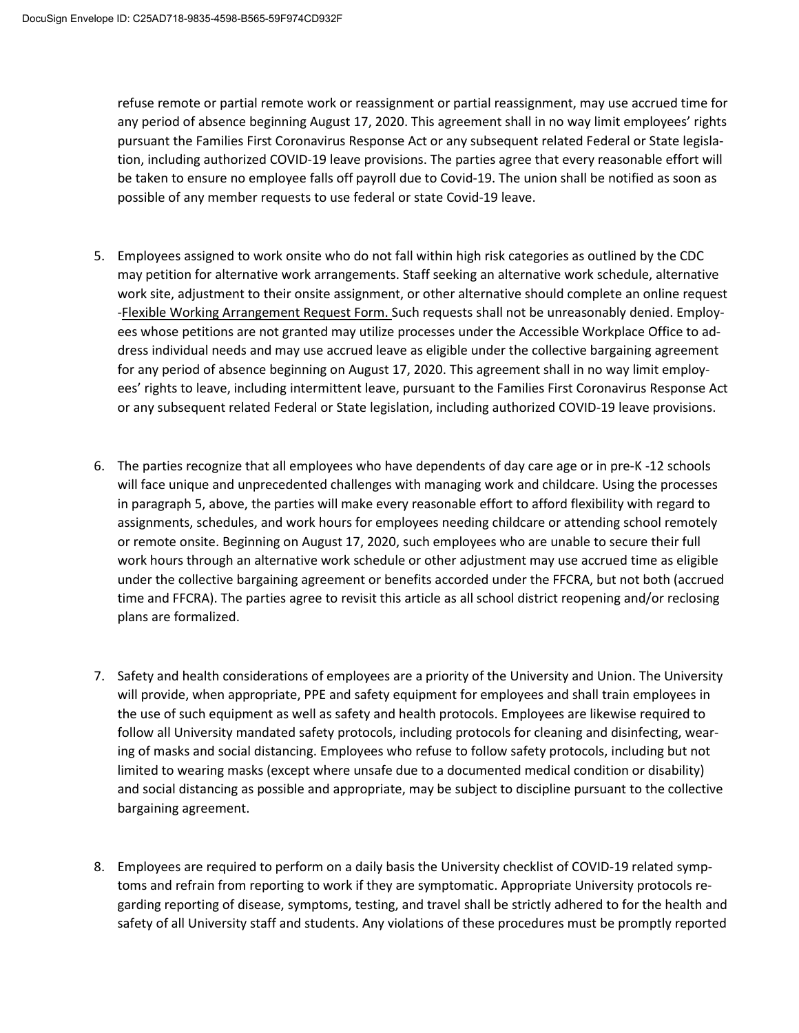refuse remote or partial remote work or reassignment or partial reassignment, may use accrued time for any period of absence beginning August 17, 2020. This agreement shall in no way limit employees' rights pursuant the Families First Coronavirus Response Act or any subsequent related Federal or State legislation, including authorized COVID-19 leave provisions. The parties agree that every reasonable effort will be taken to ensure no employee falls off payroll due to Covid-19. The union shall be notified as soon as possible of any member requests to use federal or state Covid-19 leave.

- 5. Employees assigned to work onsite who do not fall within high risk categories as outlined by the CDC may petition for alternative work arrangements. Staff seeking an alternative work schedule, alternative work site, adjustment to their onsite assignment, or other alternative should complete an online request -Flexible Working Arrangement Request Form. Such requests shall not be unreasonably denied. Employees whose petitions are not granted may utilize processes under the Accessible Workplace Office to address individual needs and may use accrued leave as eligible under the collective bargaining agreement for any period of absence beginning on August 17, 2020. This agreement shall in no way limit employees' rights to leave, including intermittent leave, pursuant to the Families First Coronavirus Response Act or any subsequent related Federal or State legislation, including authorized COVID-19 leave provisions.
- 6. The parties recognize that all employees who have dependents of day care age or in pre-K -12 schools will face unique and unprecedented challenges with managing work and childcare. Using the processes in paragraph 5, above, the parties will make every reasonable effort to afford flexibility with regard to assignments, schedules, and work hours for employees needing childcare or attending school remotely or remote onsite. Beginning on August 17, 2020, such employees who are unable to secure their full work hours through an alternative work schedule or other adjustment may use accrued time as eligible under the collective bargaining agreement or benefits accorded under the FFCRA, but not both (accrued time and FFCRA). The parties agree to revisit this article as all school district reopening and/or reclosing plans are formalized.
- 7. Safety and health considerations of employees are a priority of the University and Union. The University will provide, when appropriate, PPE and safety equipment for employees and shall train employees in the use of such equipment as well as safety and health protocols. Employees are likewise required to follow all University mandated safety protocols, including protocols for cleaning and disinfecting, wearing of masks and social distancing. Employees who refuse to follow safety protocols, including but not limited to wearing masks (except where unsafe due to a documented medical condition or disability) and social distancing as possible and appropriate, may be subject to discipline pursuant to the collective bargaining agreement.
- 8. Employees are required to perform on a daily basis the University checklist of COVID-19 related symptoms and refrain from reporting to work if they are symptomatic. Appropriate University protocols regarding reporting of disease, symptoms, testing, and travel shall be strictly adhered to for the health and safety of all University staff and students. Any violations of these procedures must be promptly reported